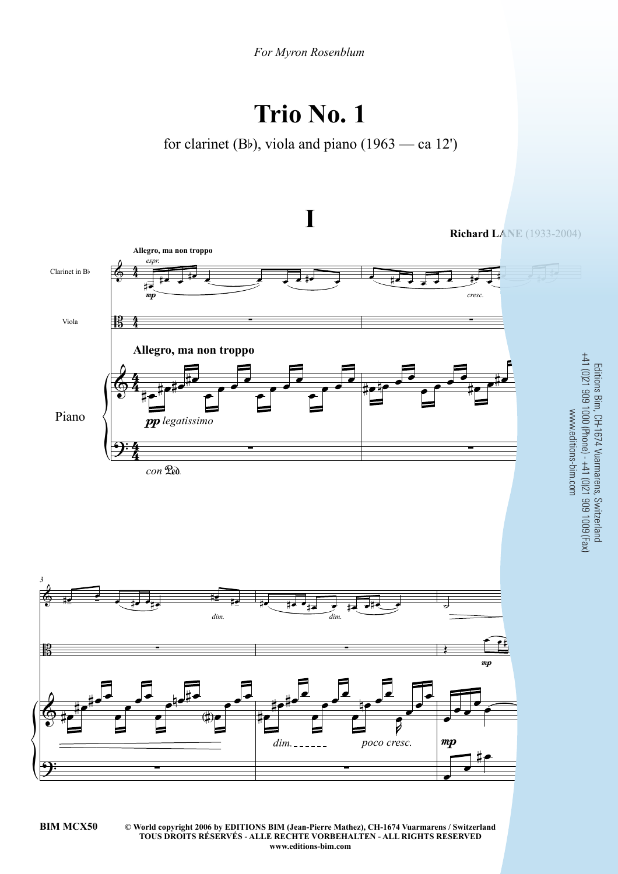*For Myron Rosenblum*

## **Trio No. 1**

for clarinet (Bb), viola and piano (1963 — ca 12')



**© World copyright 2006 by EDITIONS BIM (Jean-Pierre Mathez), CH-1674 Vuarmarens / Switzerland BIM MCX50** 3 **TOUS DROITS RÉSERVÉS - ALLE RECHTE VORBEHALTEN - ALL RIGHTS RESERVED www.editions-bim.com**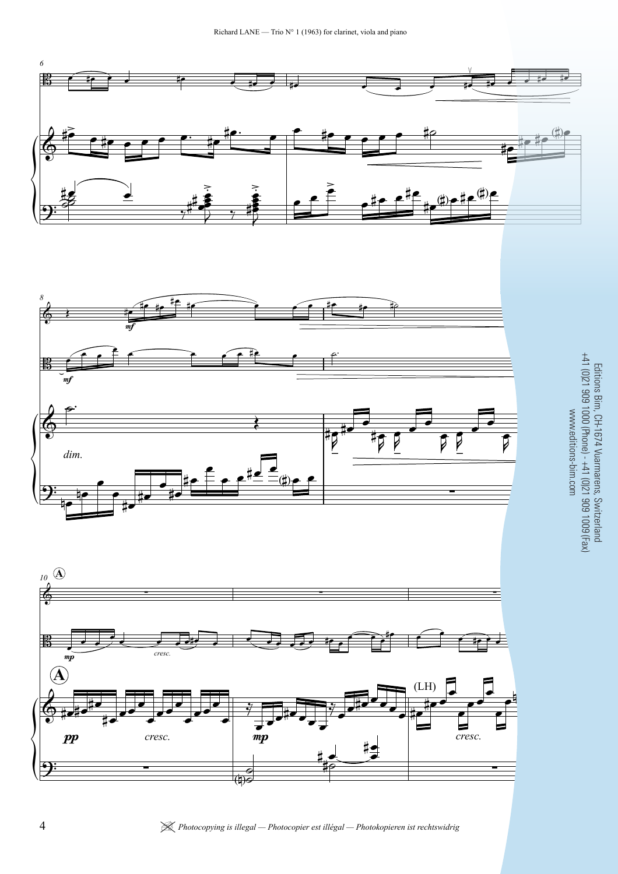



4 <sup>|</sup> *Photocopying is illegal — Photocopier est illégal — Photokopieren ist rechtswidrig*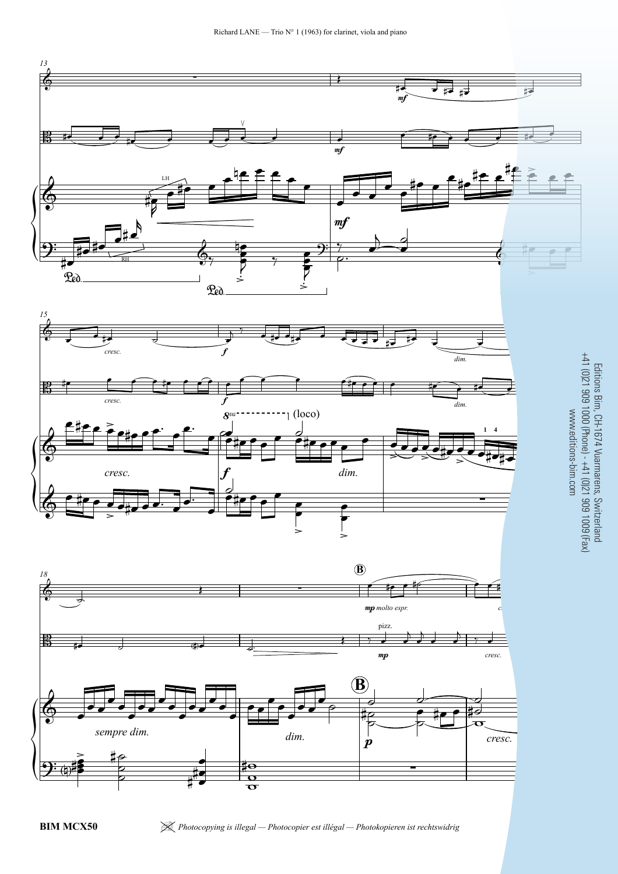



Editions Bim, CH-1674 Vuarmarens, Switzerland<br>+41 (0)21 909 1000 (Phone) - +41 (0)21 909 1009 (Fax)<br>www.editions-bim.com Editions Bim, CH-1674 Vuarmarens, Switzerland +41 (0)21 909 1000 (Phone) - +41 (0)21 909 1009 (Fax)

<sup>|</sup> *Photocopying is illegal — Photocopier est illégal — Photokopieren ist rechtswidrig* 5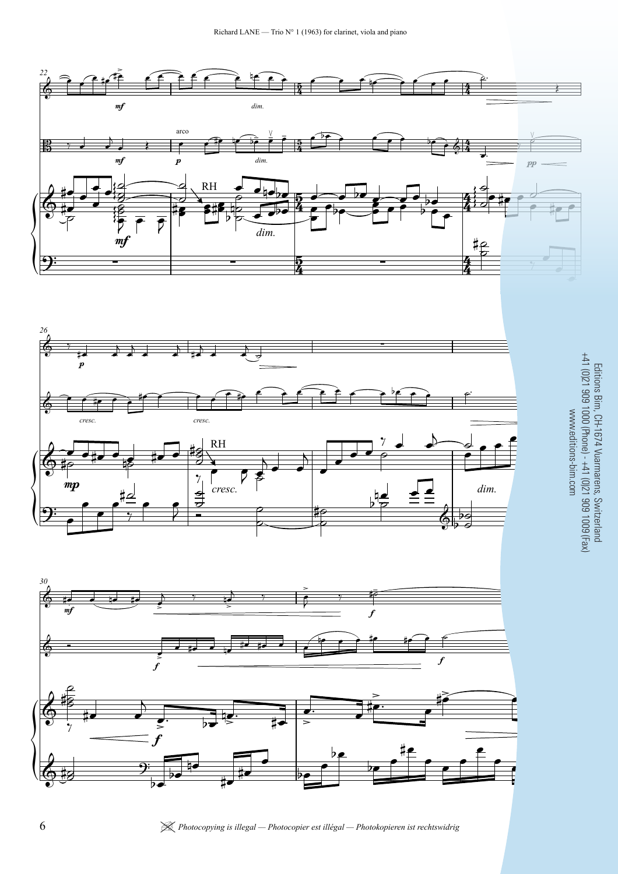





 $\frac{1}{2}$  $\overline{a}$ Editions Bim, CH-1674 Vuarmarens, Switzerland +41 (0)21 909 1000 (Phone) - +41 (0)21 909 1009 (Fax) www.editions-bim.com

6 <sup>|</sup> *Photocopying is illegal — Photocopier est illégal — Photokopieren ist rechtswidrig*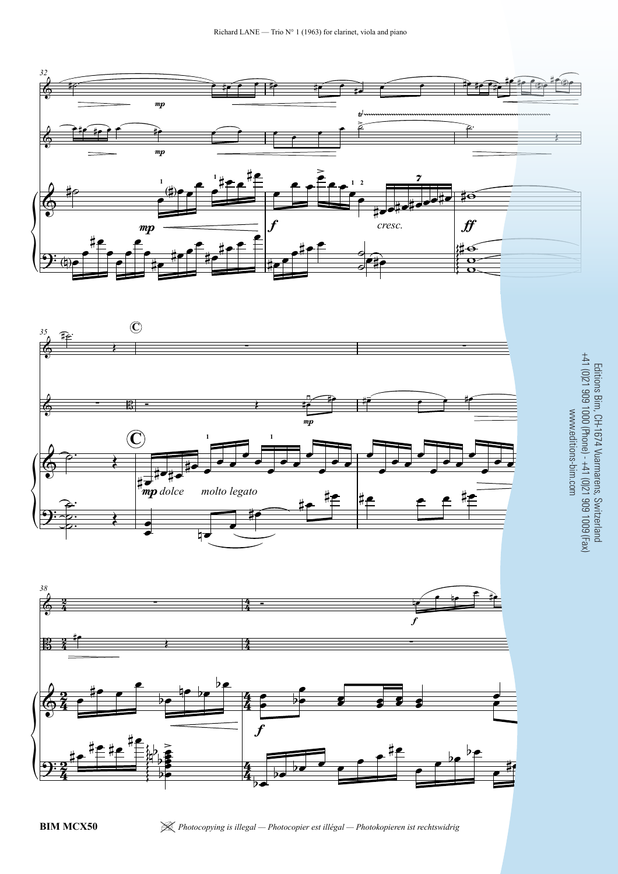





l<br>E inne. ic\_hir Editions Bim, CH-1674 Vuarmarens, Switzerland +41 (0)21 909 1000 (Phone) - +41 (0)21 909 1009 (Fax) www.editions-bim.com

<sup>|</sup> *Photocopying is illegal — Photocopier est illégal — Photokopieren ist rechtswidrig* 7